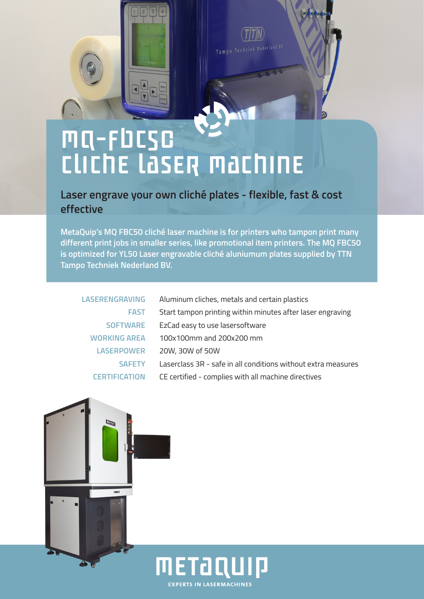# **MQ-FDCSC** CLICHE LASER MACHINE

 $\n **F**\n$ 

**Laser engrave your own cliché plates - flexible, fast & cost effective**

Tampo Techniek Nederland BV

**MetaQuip's MQ FBC50 cliché laser machine is for printers who tampon print many different print jobs in smaller series, like promotional item printers. The MQ FBC50 is optimized for YL50 Laser engravable cliché aluniumum plates supplied by TTN Tampo Techniek Nederland BV.**

| <b>LASERENGRAVING</b> | Aluminum cliches, metals and certain plastics                 |
|-----------------------|---------------------------------------------------------------|
| <b>FAST</b>           | Start tampon printing within minutes after laser engraving    |
| <b>SOFTWARE</b>       | EzCad easy to use lasersoftware                               |
| <b>WORKING AREA</b>   | 100x100mm and 200x200 mm                                      |
| <b>LASERPOWER</b>     | 20W, 30W of 50W                                               |
| <b>SAFFTY</b>         | Laserclass 3R - safe in all conditions without extra measures |
| <b>CERTIFICATION</b>  | CE certified - complies with all machine directives           |
|                       |                                                               |